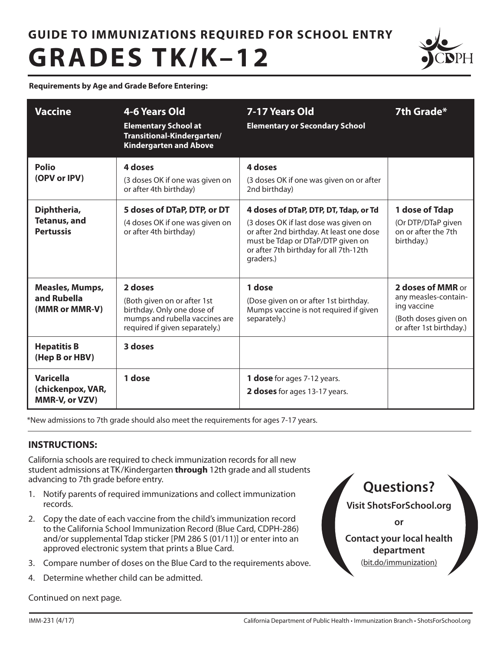# **GUIDE TO IMMUNIZATIONS REQUIRED FOR SCHOOL ENTRY GRADES TK/K–12**



**Requirements by Age and Grade Before Entering:**

| <b>Vaccine</b>                                                                | 4-6 Years Old<br><b>Elementary School at</b><br>Transitional-Kindergarten/<br><b>Kindergarten and Above</b>                                         | 7-17 Years Old<br><b>Elementary or Secondary School</b>                                                                                                                                                                | 7th Grade*                                                                                                  |
|-------------------------------------------------------------------------------|-----------------------------------------------------------------------------------------------------------------------------------------------------|------------------------------------------------------------------------------------------------------------------------------------------------------------------------------------------------------------------------|-------------------------------------------------------------------------------------------------------------|
| Polio<br>(OPV or IPV)                                                         | 4 doses<br>(3 doses OK if one was given on<br>or after 4th birthday)                                                                                | 4 doses<br>(3 doses OK if one was given on or after<br>2nd birthday)                                                                                                                                                   |                                                                                                             |
| Diphtheria,<br><b>Tetanus, and</b><br><b>Pertussis</b>                        | 5 doses of DTaP, DTP, or DT<br>(4 doses OK if one was given on<br>or after 4th birthday)                                                            | 4 doses of DTaP, DTP, DT, Tdap, or Td<br>(3 doses OK if last dose was given on<br>or after 2nd birthday. At least one dose<br>must be Tdap or DTaP/DTP given on<br>or after 7th birthday for all 7th-12th<br>graders.) | 1 dose of Tdap<br>(Or DTP/DTaP given<br>on or after the 7th<br>birthday.)                                   |
| <b>Measles, Mumps,</b><br>and Rubella<br>(MMR or MMR-V)<br><b>Hepatitis B</b> | 2 doses<br>(Both given on or after 1st<br>birthday. Only one dose of<br>mumps and rubella vaccines are<br>required if given separately.)<br>3 doses | 1 dose<br>(Dose given on or after 1st birthday.<br>Mumps vaccine is not required if given<br>separately.)                                                                                                              | 2 doses of MMR or<br>any measles-contain-<br>ing vaccine<br>(Both doses given on<br>or after 1st birthday.) |
| (Hep B or HBV)<br><b>Varicella</b><br>(chickenpox, VAR,<br>MMR-V, or VZV)     | 1 dose                                                                                                                                              | 1 dose for ages 7-12 years.<br>2 doses for ages 13-17 years.                                                                                                                                                           |                                                                                                             |

\*New admissions to 7th grade should also meet the requirements for ages 7-17 years.

# **INSTRUCTIONS:**

California schools are required to check immunization records for all new student admissions at TK /Kindergarten **through** 12th grade and all students advancing to 7th grade before entry.

- 1. Notify parents of required immunizations and collect immunization records.
- 2. Copy the date of each vaccine from the child's immunization record to the California School Immunization Record (Blue Card, CDPH-286) and/or supplemental Tdap sticker [PM 286 S (01/11)] or enter into an approved electronic system that prints a Blue Card.
- 3. Compare number of doses on the Blue Card to the requirements above.
- 4. Determine whether child can be admitted.

Continued on next page.